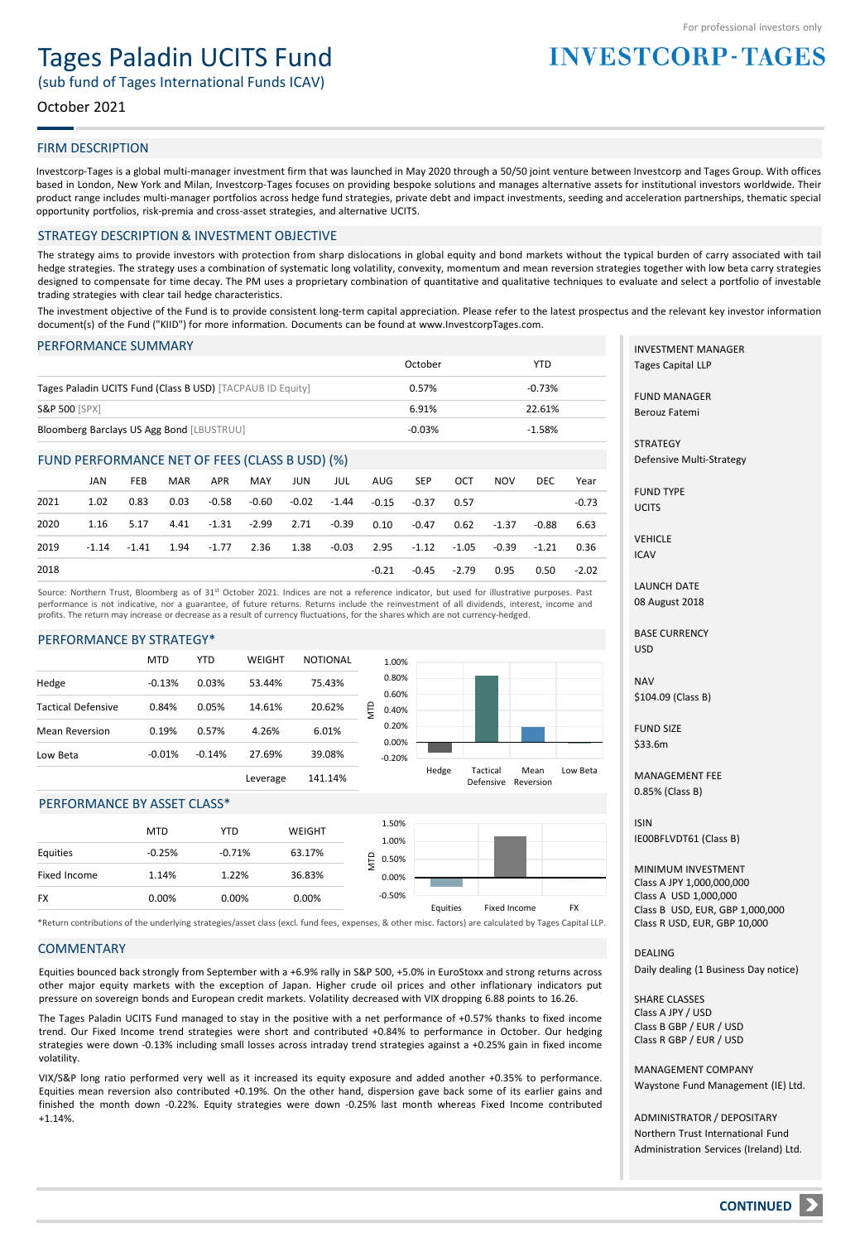# Tages Paladin UCITS Fund

(sub fund of Tages International Funds ICAV)

# October 2021

### FIRM DESCRIPTION

Investcorp-Tages is a global multi-manager investment firm that was launched in May 2020 through a 50/50 joint venture between Investcorp and Tages Group. With offices based in London, New York and Milan, Investcorp-Tages focuses on providing bespoke solutions and manages alternative assets for institutional investors worldwide. Their product range includes multi-manager portfolios across hedge fund strategies, private debt and impact investments, seeding and acceleration partnerships, thematic special opportunity portfolios, risk-premia and cross-asset strategies, and alternative UCITS.

#### STRATEGY DESCRIPTION & INVESTMENT OBJECTIVE

The strategy aims to provide investors with protection from sharp dislocations in global equity and bond markets without the typical burden of carry associated with tail hedge strategies. The strategy uses a combination of systematic long volatility, convexity, momentum and mean reversion strategies together with low beta carry strategies designed to compensate for time decay. The PM uses a proprietary combination of quantitative and qualitative techniques to evaluate and select a portfolio of investable trading strategies with clear tail hedge characteristics.

The investment objective of the Fund is to provide consistent long-term capital appreciation. Please refer to the latest prospectus and the relevant key investor information document(s) of the Fund ("KIID") for more information. Documents can be found at www.InvestcorpTages.com.

#### PERFORMANCE SUMMARY

|                                                            | October  | YTD      |
|------------------------------------------------------------|----------|----------|
| Tages Paladin UCITS Fund (Class B USD) [TACPAUB ID Equity] | 0.57%    | $-0.73%$ |
| <b>S&amp;P 500 [SPX]</b>                                   | 6.91%    | 22.61%   |
| Bloomberg Barclays US Agg Bond [LBUSTRUU]                  | $-0.03%$ | $-1.58%$ |

#### FUND PERFORMANCE NET OF FEES (CLASS B USD) (%)

|      | JAN  | <b>FEB</b> | MAR  | APR                                                                                                | MAY | JUN | JUL | AUG   | SEP     | OCT         | <b>NOV</b> | DEC.  | Year    |
|------|------|------------|------|----------------------------------------------------------------------------------------------------|-----|-----|-----|-------|---------|-------------|------------|-------|---------|
| 2021 | 1.02 | 0.83       | 0.03 | -0.58 -0.60 -0.02 -1.44 -0.15 -0.37 0.57                                                           |     |     |     |       |         |             |            |       | $-0.73$ |
| 2020 |      | 1.16 5.17  |      | 4.41 -1.31 -2.99 2.71 -0.39 0.10                                                                   |     |     |     |       | $-0.47$ | 0.62        | -1.37      | -0.88 | 6.63    |
| 2019 |      |            |      | $-1.14$ $-1.41$ $1.94$ $-1.77$ $2.36$ $1.38$ $-0.03$ $2.95$ $-1.12$ $-1.05$ $-0.39$ $-1.21$ $0.36$ |     |     |     |       |         |             |            |       |         |
| 2018 |      |            |      |                                                                                                    |     |     |     | -0.21 |         | -0.45 -2.79 | 0.95       | 0.50  | $-2.02$ |

Source: Northern Trust, Bloomberg as of 31st October 2021. Indices are not a reference indicator, but used for illustrative purposes. Past performance is not indicative, nor a guarantee, of future returns. Returns include the reinvestment of all dividends, interest, income and profits. The return may increase or decrease as a result of currency fluctuations, for the shares which are not currency-hedged.

#### PERFORMANCE BY STRATEGY\*



#### PERFORMANCE BY ASSET CLASS\*

|              | <b>MTD</b> | <b>YTD</b> | <b>WEIGHT</b> | 1.50%<br>1.00% |          |              |           |
|--------------|------------|------------|---------------|----------------|----------|--------------|-----------|
| Equities     | $-0.25%$   | $-0.71%$   | 63.17%        | $P_{0.50\%}$   |          |              |           |
| Fixed Income | 1.14%      | 1.22%      | 36.83%        | 0.00%          |          |              |           |
| <b>FX</b>    | 0.00%      | 0.00%      | 0.00%         | $-0.50%$       | Equities | Fixed Income | <b>FX</b> |
|              |            |            |               |                |          |              |           |

\*Return contributions of the underlying strategies/asset class (excl. fund fees, expenses, & other misc. factors) are calculated by Tages Capital LLP.

#### **COMMENTARY**

Equities bounced back strongly from September with a +6.9% rally in S&P 500, +5.0% in EuroStoxx and strong returns across other major equity markets with the exception of Japan. Higher crude oil prices and other inflationary indicators put pressure on sovereign bonds and European credit markets. Volatility decreased with VIX dropping 6.88 points to 16.26.

The Tages Paladin UCITS Fund managed to stay in the positive with a net performance of +0.57% thanks to fixed income trend. Our Fixed Income trend strategies were short and contributed +0.84% to performance in October. Our hedging strategies were down -0.13% including small losses across intraday trend strategies against a +0.25% gain in fixed income volatility.

VIX/S&P long ratio performed very well as it increased its equity exposure and added another +0.35% to performance. Equities mean reversion also contributed +0.19%. On the other hand, dispersion gave back some of its earlier gains and finished the month down -0.22%. Equity strategies were down -0.25% last month whereas Fixed Income contributed +1.14%.

INVESTMENT MANAGER Tages Capital LLP

**INVESTCORP-TAGES** 

FUND MANAGER Berouz Fatemi

**STRATEGY** Defensive Multi-Strategy

FUND TYPE UCITS

VEHICLE ICAV

LAUNCH DATE 08 August 2018

BASE CURRENCY USD

NAV \$104.09 (Class B)

FUND SIZE  $$33.6m$ 

MANAGEMENT FEE 0.85% (Class B)

ISIN IE00BFLVDT61 (Class B)

MINIMUM INVESTMENT Class A JPY 1,000,000,000 Class A USD 1,000,000 Class B USD, EUR, GBP 1,000,000 Class R USD, EUR, GBP 10,000

**DEALING** Daily dealing (1 Business Day notice)

SHARE CLASSES Class A JPY / USD Class B GBP / EUR / USD Class R GBP / EUR / USD

MANAGEMENT COMPANY Waystone Fund Management (IE) Ltd.

ADMINISTRATOR / DEPOSITARY Northern Trust International Fund Administration Services (Ireland) Ltd.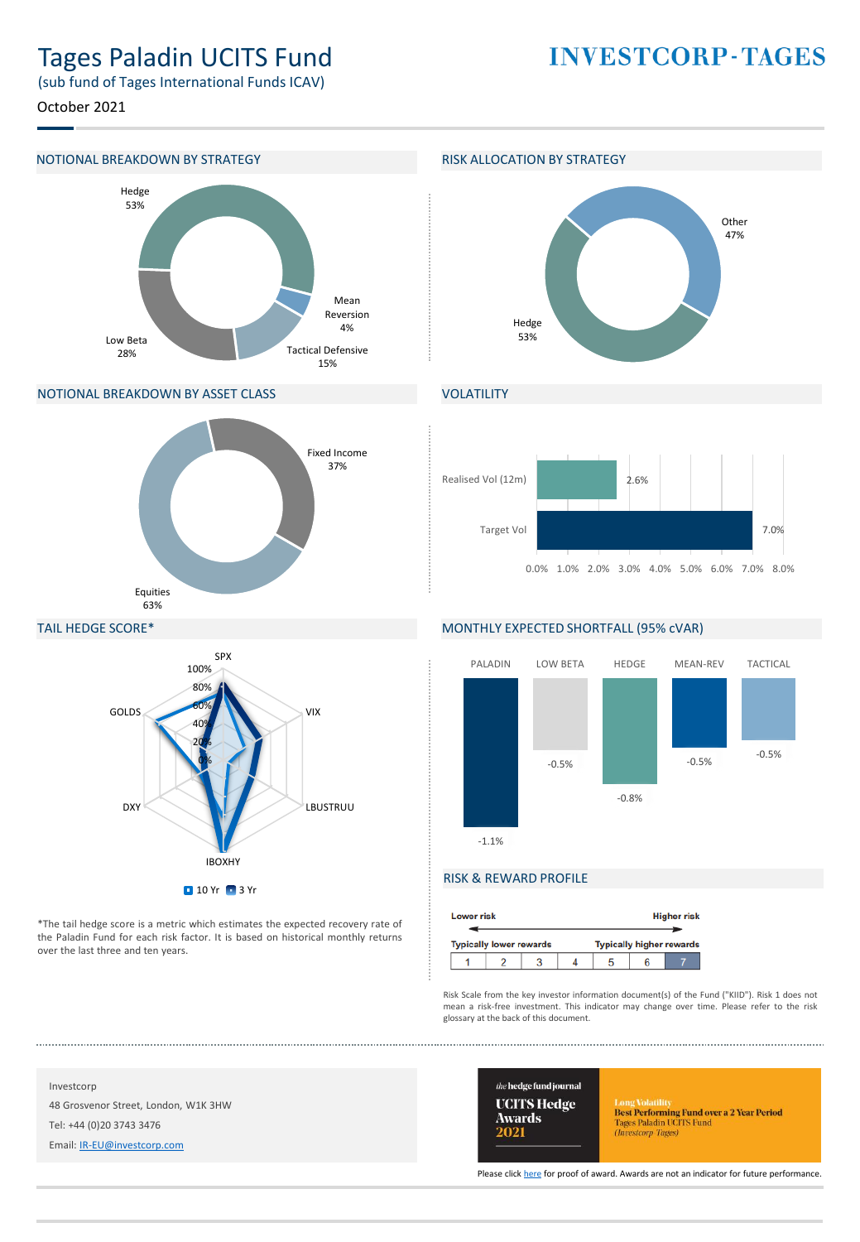# Tages Paladin UCITS Fund

**INVESTCORP-TAGES** 

(sub fund of Tages International Funds ICAV)

October 2021

#### NOTIONAL BREAKDOWN BY STRATEGY **RISK ALLOCATION BY STRATEGY**



#### NOTIONAL BREAKDOWN BY ASSET CLASS





# VOLATILITY



#### TAIL HEDGE SCORE\*



\*The tail hedge score is a metric which estimates the expected recovery rate of the Paladin Fund for each risk factor. It is based on historical monthly returns over the last three and ten years.

# MONTHLY EXPECTED SHORTFALL (95% cVAR)



## RISK & REWARD PROFILE

| <b>Higher risk</b><br><b>Lower risk</b> |                                                                   |  |  |  |  |  |
|-----------------------------------------|-------------------------------------------------------------------|--|--|--|--|--|
|                                         | <b>Typically higher rewards</b><br><b>Typically lower rewards</b> |  |  |  |  |  |
|                                         |                                                                   |  |  |  |  |  |

Risk Scale from the key investor information document(s) of the Fund ("KIID"). Risk 1 does not mean a risk-free investment. This indicator may change over time. Please refer to the risk glossary at the back of this document.

Investcorp 48 Grosvenor Street, London, W1K 3HW Tel: +44 (0)20 3743 3476

Email: [IR-EU@investcorp.com](mailto:IR-EU@investcorp.com)



Long Volatilus<br> **Best Performing Fund over a 2 Year Period**<br>
Tages Paladin UCITS Fund<br> *(Investorp-Tages)* 

Please click [here](https://thehedgefundjournal.com/wp-content/uploads/2021/03/UCITS-Hedge-Awards-2021-Winners-List.pdf) for proof of award. Awards are not an indicator for future performance.